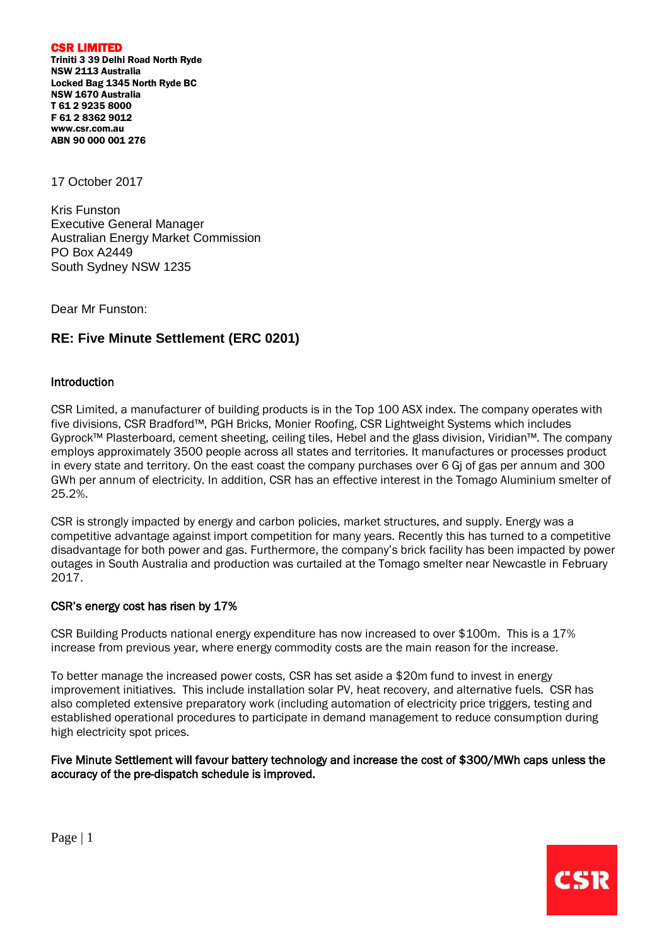CSR LIMITED

Triniti 3 39 Delhi Road North Ryde NSW 2113 Australia Locked Bag 1345 North Ryde BC NSW 1670 Australia T 61 2 9235 8000 F 61 2 8362 9012 [www.csr.com.au](http://www.csr.com.au/) ABN 90 000 001 276

17 October 2017

Kris Funston Executive General Manager Australian Energy Market Commission PO Box A2449 South Sydney NSW 1235

Dear Mr Funston:

# **RE: Five Minute Settlement (ERC 0201)**

# Introduction

CSR Limited, a manufacturer of building products is in the Top 100 ASX index. The company operates with five divisions, CSR Bradford™, PGH Bricks, Monier Roofing, CSR Lightweight Systems which includes Gyprock™ Plasterboard, cement sheeting, ceiling tiles, Hebel and the glass division, Viridian™. The company employs approximately 3500 people across all states and territories. It manufactures or processes product in every state and territory. On the east coast the company purchases over 6 Gj of gas per annum and 300 GWh per annum of electricity. In addition, CSR has an effective interest in the Tomago Aluminium smelter of 25.2%.

CSR is strongly impacted by energy and carbon policies, market structures, and supply. Energy was a competitive advantage against import competition for many years. Recently this has turned to a competitive disadvantage for both power and gas. Furthermore, the company's brick facility has been impacted by power outages in South Australia and production was curtailed at the Tomago smelter near Newcastle in February 2017.

### CSR's energy cost has risen by 17%

CSR Building Products national energy expenditure has now increased to over \$100m. This is a 17% increase from previous year, where energy commodity costs are the main reason for the increase.

To better manage the increased power costs, CSR has set aside a \$20m fund to invest in energy improvement initiatives. This include installation solar PV, heat recovery, and alternative fuels. CSR has also completed extensive preparatory work (including automation of electricity price triggers, testing and established operational procedures to participate in demand management to reduce consumption during high electricity spot prices.

Five Minute Settlement will favour battery technology and increase the cost of \$300/MWh caps unless the accuracy of the pre-dispatch schedule is improved.